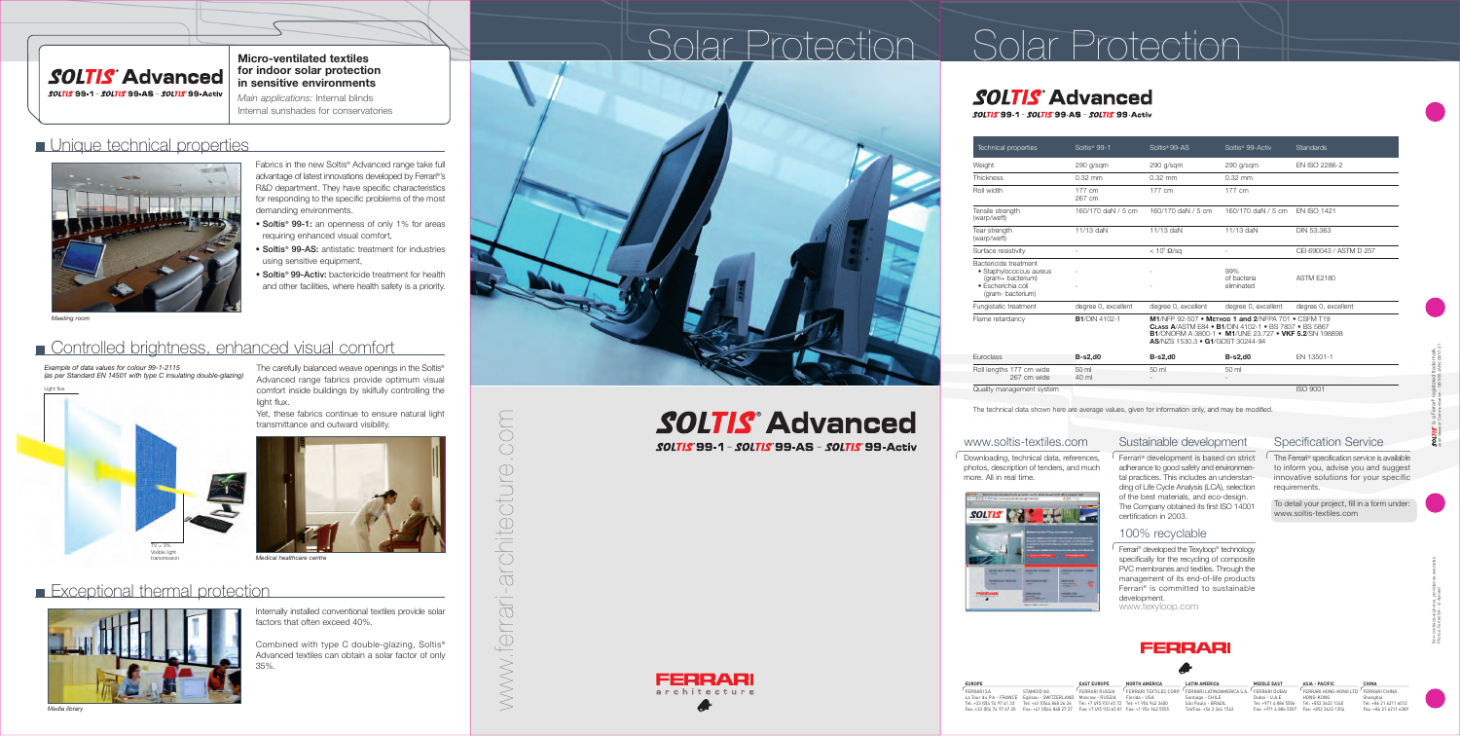## **SOLTIS** Advanced

*SOLTIS* 99-1 - *SOLTIS* 99-AS - *SOLTIS* 99-Activ

www.ferrari-architecture.com **PIC**  $( )$  $\bigcirc$ architectur www.ferrari

*Example of data values for colour 99-1-2115 (as per Standard EN 14501 with type C insulating double-glazing)*



**SOLTIS Advanced SOLTIS 99-1 - SOLTIS 99-AS - SOLTIS 99-Activ** 



The carefully balanced weave openings in the Soltis® Advanced range fabrics provide optimum visual comfort inside buildings by skilfully controlling the light flux.

Yet, these fabrics continue to ensure natural light transmittance and outward visibility.



Medical healthcare centre

## **Exceptional thermal protection**



| <b>Technical properties</b>                                                                                     | Soltis <sup>®</sup> 99-1 | Soltis <sup>®</sup> 99-AS                                                                                                                                                                                             | Soltis <sup>®</sup> 99-Activ     | Standards               |  |  |  |  |  |
|-----------------------------------------------------------------------------------------------------------------|--------------------------|-----------------------------------------------------------------------------------------------------------------------------------------------------------------------------------------------------------------------|----------------------------------|-------------------------|--|--|--|--|--|
| Weight                                                                                                          | 290 g/sqm                | 290 g/sqm                                                                                                                                                                                                             | 290 g/sqm                        | EN ISO 2286-2           |  |  |  |  |  |
| Thickness                                                                                                       | $0.32$ mm                | $0.32$ mm                                                                                                                                                                                                             | $0.32$ mm                        |                         |  |  |  |  |  |
| Roll width                                                                                                      | 177 cm<br>267 cm         | 177 cm                                                                                                                                                                                                                | 177 cm                           |                         |  |  |  |  |  |
| Tensile strength<br>(warp/weft)                                                                                 | 160/170 daN / 5 cm       | 160/170 daN / 5 cm                                                                                                                                                                                                    | 160/170 daN / 5 cm               | <b>EN ISO 1421</b>      |  |  |  |  |  |
| Tear strength<br>(warp/weft)                                                                                    | 11/13 daN                | 11/13 daN                                                                                                                                                                                                             | 11/13 daN                        | <b>DIN 53,363</b>       |  |  |  |  |  |
| Surface resistivity                                                                                             |                          | $< 10^8 \Omega/\text{sq}$                                                                                                                                                                                             |                                  | CEI 690043 / ASTM D 257 |  |  |  |  |  |
| Bactericide treatment<br>• Staphylococcus aureus<br>(gram+ bacterium)<br>· Escherichia coli<br>(gram-bacterium) |                          |                                                                                                                                                                                                                       | 99%<br>of bacteria<br>eliminated | <b>ASTM E2180</b>       |  |  |  |  |  |
| Fungistatic treatment                                                                                           | degree 0, excellent      | degree 0, excellent                                                                                                                                                                                                   | degree 0, excellent              | degree 0, excellent     |  |  |  |  |  |
| Flame retardancy                                                                                                | <b>B1/DIN 4102-1</b>     | M1/NFP 92-507 • METHOD 1 and 2/NFPA 701 • CSFM T19<br><b>CLASS A/ASTM E84 • B1/DIN 4102-1 • BS 7837 • BS 5867</b><br><b>B1/ONORM A 3800-1 • M1/UNE 23.727 • VKF 5.2/SN 198898</b><br>AS/NZS 1530.3 • G1/GOST 30244-94 |                                  |                         |  |  |  |  |  |
| Euroclass                                                                                                       | $B-s2,d0$                | $B-s2,d0$                                                                                                                                                                                                             | $B-s2,d0$                        | EN 13501-1              |  |  |  |  |  |
| Roll lengths 177 cm wide<br>267 cm wide                                                                         | 50 ml<br>40 ml           | 50 ml                                                                                                                                                                                                                 | 50 ml                            |                         |  |  |  |  |  |
| Quality management system                                                                                       |                          |                                                                                                                                                                                                                       |                                  | <b>ISO 9001</b>         |  |  |  |  |  |

- Soltis<sup>®</sup> 99-1: an openness of only 1% for areas requiring enhanced visual comfort,
- Soltis<sup>®</sup> 99-AS: antistatic treatment for industries using sensitive equipment,
- Soltis<sup>®</sup> 99-Activ: bactericide treatment for health and other facilities, where health safety is a priority.

<sup>1</sup> Downloading, technical data, references, photos, description of tenders, and much more. All in real time.



 $\Box$  The Ferrari® specification service is available to inform you, advise you and suggest innovative solutions for your specific requirements.



The technical data shown here are average values, given for information only, and may be modified.

#### **Micro-ventilated textiles for indoor solar protection in sensitive environments**

Ferrari<sup>®</sup> development is based on strict adherance to good safety and environmental practices. This includes an understanding of Life Cycle Analysis (LCA), selection of the best materials, and eco-design. The Company obtained its first ISO 14001 certification in 2003.

*Main applications:* Internal blinds Internal sunshades for conservatories

### **Unique technical properties**



Internally installed conventional textiles provide solar factors that often exceed 40%.

Combined with type C double-glazing, Soltis® Advanced textiles can obtain a solar factor of only 35%.

Fabrics in the new Soltis® Advanced range take full advantage of latest innovations developed by Ferrari®'s R&D department. They have specific characteristics for responding to the specific problems of the most demanding environments.

#### www.soltis-textiles.com



#### Specification Service

Jean Vasseur Communication - GB 955 JANV 09/V1.01

To detail your project, fill in a form under: www.soltis-textiles.com

#### Sustainable development

#### 100% recyclable

Ferrari® developed the Texyloop® technology specifically for the recycling of composite PVC membranes and textiles. Through the management of its end-of-life products Ferrari® is committed to sustainable development. www.texyloop.com

### FERRARI

#### *Meeting room*

## **Controlled brightness, enhanced visual comfort**

# Solar Protection Solar Protection



*SOLTIS* 99-1 - *SOLTIS* 99-AS - *SOLTIS* 99-Activ

| <b>EUROPE</b>                                                 |                                                                      | <b>EAST EUROPE</b>                         | <b>NORTH AMERICA</b>                              | <b>LATIN AMERICA</b>                                  | <b>MIDDLE EAST</b>   | <b>ASIA - PACIFIC</b>  | <b>CHINA</b>          |
|---------------------------------------------------------------|----------------------------------------------------------------------|--------------------------------------------|---------------------------------------------------|-------------------------------------------------------|----------------------|------------------------|-----------------------|
| <b>FFRRARISA</b>                                              | STAMOID AG                                                           | FFRRARI RUSSIA                             | <sup>1</sup> FFRRARI TFXTII FS CORP. <sup>1</sup> | <sup>1</sup> FFRRARI I ATINOAMERICA S.A. <sup>1</sup> | FFRRARI DUBAL        | FFRRARI HONG-KONG I TD | FFRRARI CHINA         |
| La Tour du Pin - FRANCE Eqlisau - SWITZERLAND Moscow - RUSSIA |                                                                      |                                            | Florida - USA                                     | Santiago - CHILE                                      | Dubai - U.A.E        | HONG-KONG              | Shanghai              |
| Tel: +33 (0) 4 74 97 41 33                                    | Tel: +41 (0) 44 868 26 26 Tel: +7 495 933 65 72 Tel: +1 954 942 3600 |                                            |                                                   | São Paulo - BRAZIL                                    | Tel: +971 4 886 5506 | Tel: +852 3622 1340    | Tel: +86 21 6211 6012 |
| Fax: +33 (0)4 74 97 67 20                                     | Fax: +41 (0)44 868 27 27                                             | Fax: +7 495 933 65 81 Fax: +1 954 942 5555 |                                                   | Tel/Fax: +56 2 264 1543                               | Fax: +971 4 886 5507 | Fax: +852 3622 1354    | Fax: +86 21 6211 6389 |



s a Ferrari® registered trade mark.